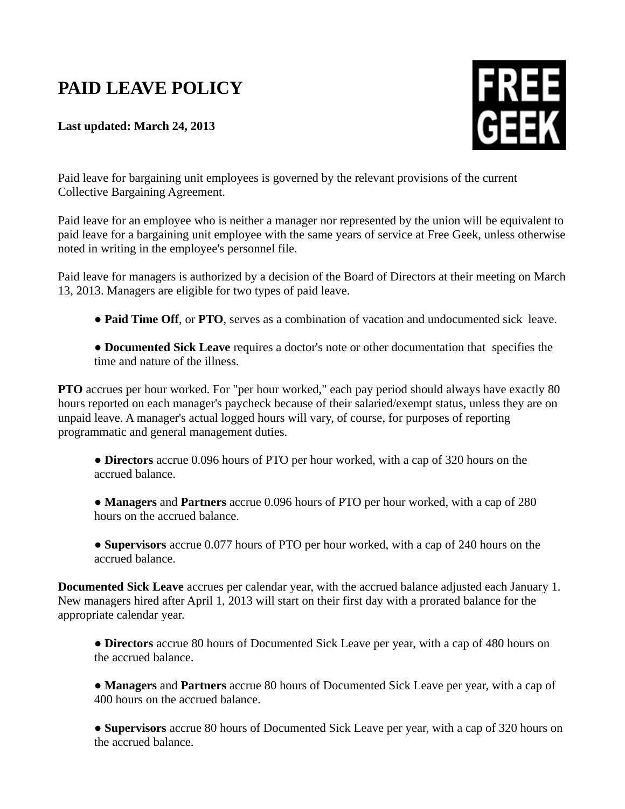## **PAID LEAVE POLICY**

**Last updated: March 24, 2013**



Paid leave for bargaining unit employees is governed by the relevant provisions of the current Collective Bargaining Agreement.

Paid leave for an employee who is neither a manager nor represented by the union will be equivalent to paid leave for a bargaining unit employee with the same years of service at Free Geek, unless otherwise noted in writing in the employee's personnel file.

Paid leave for managers is authorized by a decision of the Board of Directors at their meeting on March 13, 2013. Managers are eligible for two types of paid leave.

**● Paid Time Off**, or **PTO**, serves as a combination of vacation and undocumented sick leave.

● **Documented Sick Leave** requires a doctor's note or other documentation that specifies the time and nature of the illness.

**PTO** accrues per hour worked. For "per hour worked," each pay period should always have exactly 80 hours reported on each manager's paycheck because of their salaried/exempt status, unless they are on unpaid leave. A manager's actual logged hours will vary, of course, for purposes of reporting programmatic and general management duties.

● **Directors** accrue 0.096 hours of PTO per hour worked, with a cap of 320 hours on the accrued balance.

● **Managers** and **Partners** accrue 0.096 hours of PTO per hour worked, with a cap of 280 hours on the accrued balance.

● **Supervisors** accrue 0.077 hours of PTO per hour worked, with a cap of 240 hours on the accrued balance.

**Documented Sick Leave** accrues per calendar year, with the accrued balance adjusted each January 1. New managers hired after April 1, 2013 will start on their first day with a prorated balance for the appropriate calendar year.

● **Directors** accrue 80 hours of Documented Sick Leave per year, with a cap of 480 hours on the accrued balance.

● **Managers** and **Partners** accrue 80 hours of Documented Sick Leave per year, with a cap of 400 hours on the accrued balance.

● **Supervisors** accrue 80 hours of Documented Sick Leave per year, with a cap of 320 hours on the accrued balance.